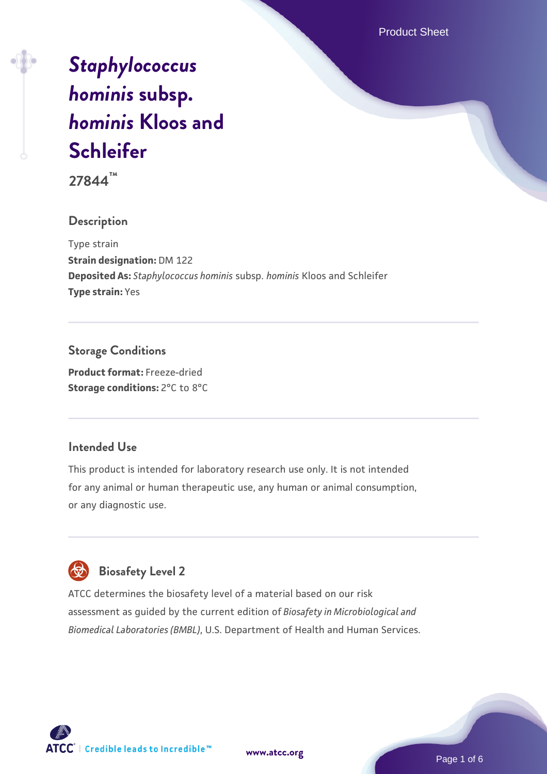Product Sheet

# *[Staphylococcus](https://www.atcc.org/products/27844) [hominis](https://www.atcc.org/products/27844)* **[subsp.](https://www.atcc.org/products/27844)** *[hominis](https://www.atcc.org/products/27844)* **[Kloos and](https://www.atcc.org/products/27844) [Schleifer](https://www.atcc.org/products/27844)**

**27844™**

#### **Description**

Type strain **Strain designation:** DM 122 **Deposited As:** *Staphylococcus hominis* subsp. *hominis* Kloos and Schleifer **Type strain:** Yes

#### **Storage Conditions**

**Product format:** Freeze-dried **Storage conditions:** 2°C to 8°C

#### **Intended Use**

This product is intended for laboratory research use only. It is not intended for any animal or human therapeutic use, any human or animal consumption, or any diagnostic use.

# **Biosafety Level 2**

ATCC determines the biosafety level of a material based on our risk assessment as guided by the current edition of *Biosafety in Microbiological and Biomedical Laboratories (BMBL)*, U.S. Department of Health and Human Services.

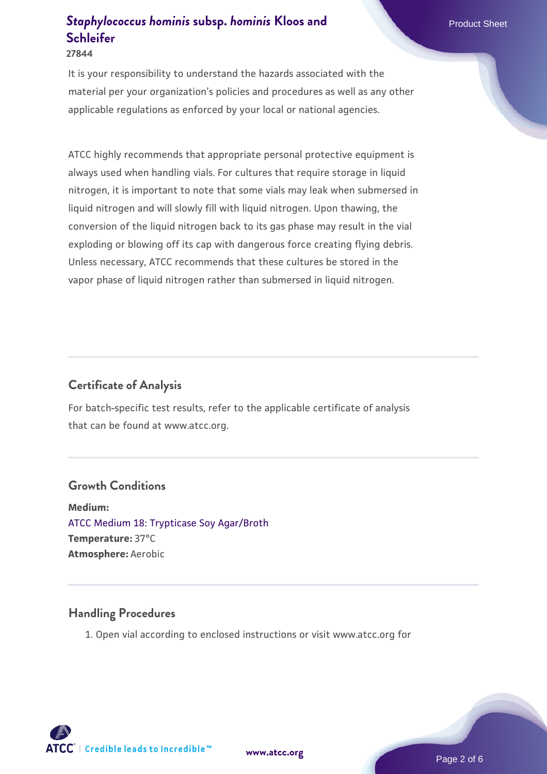#### **27844**

It is your responsibility to understand the hazards associated with the material per your organization's policies and procedures as well as any other applicable regulations as enforced by your local or national agencies.

ATCC highly recommends that appropriate personal protective equipment is always used when handling vials. For cultures that require storage in liquid nitrogen, it is important to note that some vials may leak when submersed in liquid nitrogen and will slowly fill with liquid nitrogen. Upon thawing, the conversion of the liquid nitrogen back to its gas phase may result in the vial exploding or blowing off its cap with dangerous force creating flying debris. Unless necessary, ATCC recommends that these cultures be stored in the vapor phase of liquid nitrogen rather than submersed in liquid nitrogen.

#### **Certificate of Analysis**

For batch-specific test results, refer to the applicable certificate of analysis that can be found at www.atcc.org.

#### **Growth Conditions**

**Medium:**  [ATCC Medium 18: Trypticase Soy Agar/Broth](https://www.atcc.org/-/media/product-assets/documents/microbial-media-formulations/1/8/atcc-medium-18.pdf?rev=832846e1425841f19fc70569848edae7) **Temperature:** 37°C **Atmosphere:** Aerobic

#### **Handling Procedures**

1. Open vial according to enclosed instructions or visit www.atcc.org for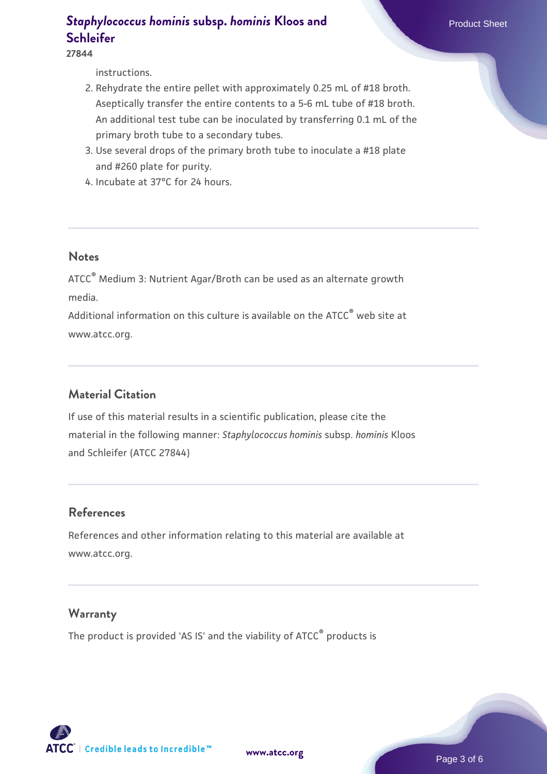**27844**

instructions.

- 2. Rehydrate the entire pellet with approximately 0.25 mL of #18 broth. Aseptically transfer the entire contents to a 5-6 mL tube of #18 broth. An additional test tube can be inoculated by transferring 0.1 mL of the primary broth tube to a secondary tubes.
- 3. Use several drops of the primary broth tube to inoculate a #18 plate and #260 plate for purity.
- 4. Incubate at 37°C for 24 hours.

#### **Notes**

ATCC® Medium 3: Nutrient Agar/Broth can be used as an alternate growth media.

Additional information on this culture is available on the ATCC<sup>®</sup> web site at www.atcc.org.

## **Material Citation**

If use of this material results in a scientific publication, please cite the material in the following manner: *Staphylococcus hominis* subsp. *hominis* Kloos and Schleifer (ATCC 27844)

## **References**

References and other information relating to this material are available at www.atcc.org.

#### **Warranty**

The product is provided 'AS IS' and the viability of ATCC® products is

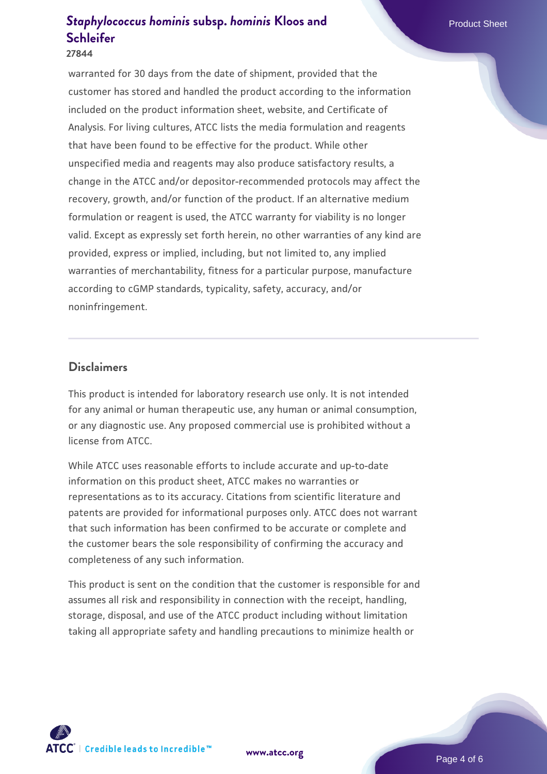#### **27844**

warranted for 30 days from the date of shipment, provided that the customer has stored and handled the product according to the information included on the product information sheet, website, and Certificate of Analysis. For living cultures, ATCC lists the media formulation and reagents that have been found to be effective for the product. While other unspecified media and reagents may also produce satisfactory results, a change in the ATCC and/or depositor-recommended protocols may affect the recovery, growth, and/or function of the product. If an alternative medium formulation or reagent is used, the ATCC warranty for viability is no longer valid. Except as expressly set forth herein, no other warranties of any kind are provided, express or implied, including, but not limited to, any implied warranties of merchantability, fitness for a particular purpose, manufacture according to cGMP standards, typicality, safety, accuracy, and/or noninfringement.

#### **Disclaimers**

This product is intended for laboratory research use only. It is not intended for any animal or human therapeutic use, any human or animal consumption, or any diagnostic use. Any proposed commercial use is prohibited without a license from ATCC.

While ATCC uses reasonable efforts to include accurate and up-to-date information on this product sheet, ATCC makes no warranties or representations as to its accuracy. Citations from scientific literature and patents are provided for informational purposes only. ATCC does not warrant that such information has been confirmed to be accurate or complete and the customer bears the sole responsibility of confirming the accuracy and completeness of any such information.

This product is sent on the condition that the customer is responsible for and assumes all risk and responsibility in connection with the receipt, handling, storage, disposal, and use of the ATCC product including without limitation taking all appropriate safety and handling precautions to minimize health or



**[www.atcc.org](http://www.atcc.org)**

Page 4 of 6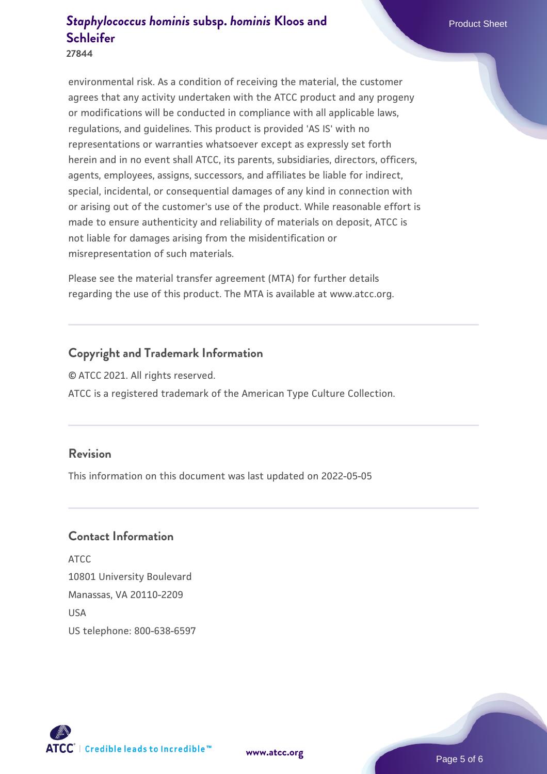**27844**

environmental risk. As a condition of receiving the material, the customer agrees that any activity undertaken with the ATCC product and any progeny or modifications will be conducted in compliance with all applicable laws, regulations, and guidelines. This product is provided 'AS IS' with no representations or warranties whatsoever except as expressly set forth herein and in no event shall ATCC, its parents, subsidiaries, directors, officers, agents, employees, assigns, successors, and affiliates be liable for indirect, special, incidental, or consequential damages of any kind in connection with or arising out of the customer's use of the product. While reasonable effort is made to ensure authenticity and reliability of materials on deposit, ATCC is not liable for damages arising from the misidentification or misrepresentation of such materials.

Please see the material transfer agreement (MTA) for further details regarding the use of this product. The MTA is available at www.atcc.org.

#### **Copyright and Trademark Information**

© ATCC 2021. All rights reserved.

ATCC is a registered trademark of the American Type Culture Collection.

#### **Revision**

This information on this document was last updated on 2022-05-05

#### **Contact Information**

ATCC 10801 University Boulevard Manassas, VA 20110-2209 **IISA** US telephone: 800-638-6597